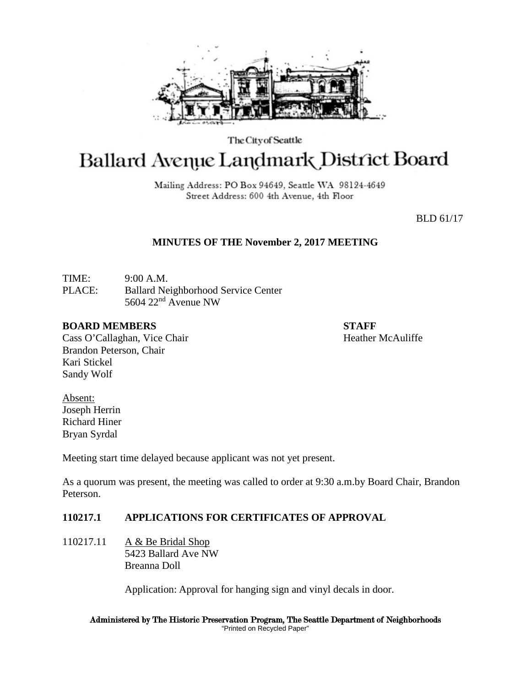

The City of Seattle

# Ballard Avenue Landmark District Board

Mailing Address: PO Box 94649, Seattle WA 98124-4649 Street Address: 600 4th Avenue, 4th Floor

BLD 61/17

# **MINUTES OF THE November 2, 2017 MEETING**

TIME: 9:00 A.M. PLACE: Ballard Neighborhood Service Center 5604 22nd Avenue NW

#### **BOARD MEMBERS STAFF**

Cass O'Callaghan, Vice Chair Heather McAuliffe Brandon Peterson, Chair Kari Stickel Sandy Wolf

Absent: Joseph Herrin Richard Hiner Bryan Syrdal

Meeting start time delayed because applicant was not yet present.

As a quorum was present, the meeting was called to order at 9:30 a.m.by Board Chair, Brandon Peterson.

# **110217.1 APPLICATIONS FOR CERTIFICATES OF APPROVAL**

110217.11 A & Be Bridal Shop 5423 Ballard Ave NW Breanna Doll

Application: Approval for hanging sign and vinyl decals in door.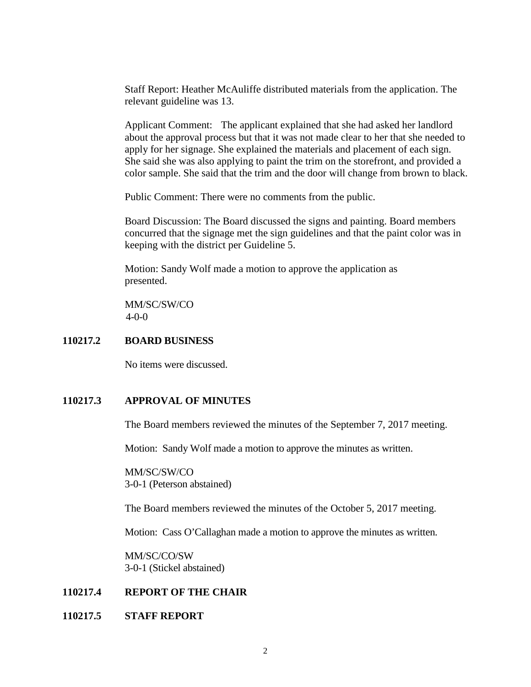Staff Report: Heather McAuliffe distributed materials from the application. The relevant guideline was 13.

Applicant Comment: The applicant explained that she had asked her landlord about the approval process but that it was not made clear to her that she needed to apply for her signage. She explained the materials and placement of each sign. She said she was also applying to paint the trim on the storefront, and provided a color sample. She said that the trim and the door will change from brown to black.

Public Comment: There were no comments from the public.

Board Discussion: The Board discussed the signs and painting. Board members concurred that the signage met the sign guidelines and that the paint color was in keeping with the district per Guideline 5.

Motion: Sandy Wolf made a motion to approve the application as presented.

MM/SC/SW/CO 4-0-0

### **110217.2 BOARD BUSINESS**

No items were discussed.

# **110217.3 APPROVAL OF MINUTES**

The Board members reviewed the minutes of the September 7, 2017 meeting.

Motion: Sandy Wolf made a motion to approve the minutes as written.

MM/SC/SW/CO 3-0-1 (Peterson abstained)

The Board members reviewed the minutes of the October 5, 2017 meeting.

Motion: Cass O'Callaghan made a motion to approve the minutes as written.

MM/SC/CO/SW 3-0-1 (Stickel abstained)

#### **110217.4 REPORT OF THE CHAIR**

#### **110217.5 STAFF REPORT**